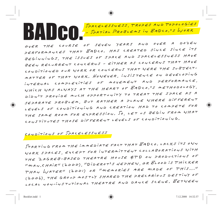# BADCO *SPACELESSNESS*, TROPES AND TOPOLOGIES – Spatial Problems in BADco.'s Work

⊕

Over the course of seven years and over a dozen performances that BADco. has created since since its beginnings, the issues of space and spacelessness have been recurrent concerns – either as concerns that have conditioned our work or concerns that were the subjectmatter of that work. However, insistence on developing internal complexities of movement and performance, which was always at the heart of BADco.'s methodology, didn't provide much opportunity to treat the space as a separate problem, but rather a plane where different levels of conditioning and creation had to compete for the same room for expression. So, let us begin from what constitutes those different levels of conditioning.

### Conditions of Spacelessness

Starting from the immediate fact that BADco. lacks its own work spaces, except for intermittent collaborations with the Zagreb-based theatre house &TD on productions of "Man.Chair" (2000), "Diderot's Nephew, Or Blood Is Thicker Than Water" (2001) or "Memories Are Made of This..." (2006), the group mostly shared the precarious destiny of local non-instutional theatre and dance scene. Between

♠

⇔

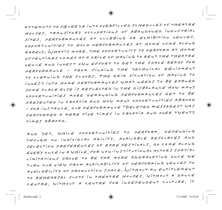attempts to squeeze into overfilled schedules of theatre houses, transitory occupations of abandoned industrial sites, performances at clubbing or exhibition venues, opportunities to hold performances at home come alon<sup>g</sup> rarely. What's more, the opportunity to perform at home oftentimes comes at a price of having to rent the theatre venue and invest own effort to get the space ready for performance – from finding the technical equipment to cleaning the floors. The grim situation of having to invest into home performances what needs to be earned some place else is reflected in the disbalance how many opportunities more demanding performances get to be presented in Croatia and how many opportunities abroad – for instance, our performance "Deleted Messages" was performed a mere five times in Croatia and over twenty times abroad.

◈

And yet, while opportunities to perform, depending though on individual agility, available resources and selection preferences of rare festivals, do come alon<sup>g</sup> every once in a while, for non-institutional actors spatial limitations prove to be far more aggravating once we turn our view from availability of performing venues to AVAILABILITY OF PRODUCTION SPACE. WITHOUT AN ENTITLEMENT to rehearsal slots in theatre houses, without a dance centre, without a centre for independent culture, it

♠

⇔

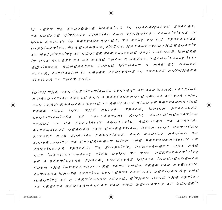is left to struggle working in inadequate spaces, to create without spatial and technical conditions it will employ in performances, to rely on its spaceless imagination. For example, BADco. has enjoyed the benefit of hospitality of Center for Culture Novi Zagreb, where it has access to no more than a small, technically illequipped rehearsal space without a marley dance floor, although it never performs in spaces anywhere similar to that one.

◈

With the non-institutional context of our work, lacking a production space and a performance venue of our own, our performances come to rely on a kind of performative free fall into the actual space, which produces conditionings of conceptual kind: experimentation tends to be spatially agnostic, reduced to spatial extensions needed for expression, relations between actors and spatial relations, and rarely having an opportunity to experiment with the performativity of particular spaces. To simplify, performers who are not institutionally tied down to the performativity of a particular space, creators whose independence from the infrastructure sets them free for mobility, authors whose spatial concepts are not defined by the identity of a particular venue, either have the option to create performances for the geometry of generic

♠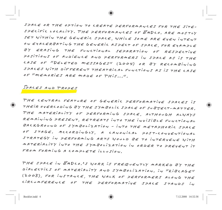space or the option to create performances for the sitespecific locality. The performances of BADco. are mostly set within the generic space, while some are even intent on exacerbating the generic aspect of space, for example by erasing the functional separation of respective positions of audience and performers in space as is the case of "Deleted Messages" (2004) or by recombining spaces with different theatrical functions as is the case of "Memories Are Made of This...".

◈

#### Spaces and Tropes

⊕

The central feature of generic performative spaces is their overcoding by the symbolic space of subject-matter. The materiality of performing space, although always remaining present, retreats into the invisible functional background of symbolization – into the metaphoric space of stage. Accordingly, a canonical post-conventional strategy in performing arts would be to intervene with materiality into the symbolization in order to prevent it from forming a complete illusion.

The space in BADco.'s work is frequently marked by the dialectics of materiality and symbolization. In "Ribcage" (2003), for instance, the walk of performers along the circumference of the performative space stands in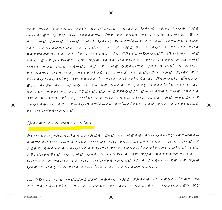for the frequently depicted prison walk providing the inmates with an opportunity to talk to each other, but at the same time this walk functions as an actual form for performers to step out of the plot and discuss the performance as it unfolds. In "FleshDance" (2004) the dance is pushed into the seam between the floor and the wall and performed as if the gravity was pulling down to both planes, allowing it thus to revisit the specific dimensionality of space in the paintings of Francis Bacon, but also allowing it to produce a very specific form of dance movement. "Deleted Messages" emulates the space of a quarantine, while at the same time uses the model of contagion as organizational principle for the unfolding of performance.

⊕

Spaces and Topologies

However, there's another level to the relationality between metaphors and space where the organizational principle of performance coincides with the organizational principles observable in the world outside of the performance – where a topos in the performance is a structure of the WORLD BEYOND THE CONFINES OF PERFORMANCE.

In "Deleted Messages" again the space is organized so as to function as a space of soft control, indicated by

♠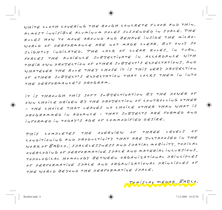white cloth covering the rough concrete floor and thin, almost invisible aluminum poles suspended in space. The rules how to move around and behave inside the microworld of performance are not made clear, but only so slightly indicated. The lack of clear rules, in turn, FORCES THE AUDIENCE SUBJECTIVATE IN ACCORDANCE WITH THEIR OWN PROTECTION OF OTHER SUBTECT'S EXPECTATIONS, AND WHATEVER THE RULE THEY CHOSE IT IS THIS VERY PROJECTION of other subject's expectation that locks them in into the performance's program.

⊕

It is through this soft subjectivation by the power of own choice driven by the projection of controlling other  $-$  the choice that leaves no choice other than what is programmed in advance – that subjects are formed and informed in today's age of commodified desire.

This completes the overview of three levels of conditioning and productivity that are juxtaposed in the work of BADco.: spacelessness and spatial mobility, topical overcoding of performative space and material incursions, topological homology between organizational principles of performative space and organizational principles of the world beyond the performative space.

Tomislav Medak, BADco.

⊕

⇔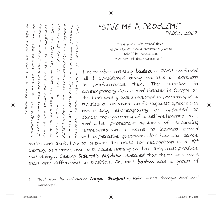

THIS

n

OMMONS A

LICENSE

BY-SA

COPY

.<br>ا , SHARE

タイトRiBuTioN THR: Schief

PREVENT

م<br>م

OR THE

MODIFIED

modiFiED

VERSION

VERJION

Yo<br>P

HAVE

MADE.

 $3990$ 

インタイ

THE ORIGINAL ORIGINAL

ARTICLE

ARTICLE

Yo

ARE

DISTRIBUTING

DiJTRIBUTING

OTHERS

REVENT OTHERS

THE

.<br>ا ,

/2.5/

HR/, : ギイイア ://

ARTICLE

**ARTSC** 

 $\overline{\phantom{0}}$ 

# "GIVE ME A PROBLEM!" BADCO. 2007

"The ant understood that the producer could overtake power only if he occupies the site of the parasite."<sup>1</sup>

TTRIBUTIONFROM HAVING CREATIVECOMMONSSO I remember meeting badco. in 2001 confused 02:6.1142 MODIFY ORIGINAL AVAILABLE  $\zeta$ all I considered being mat ters of concern VAILABLE HAVING THAT in performance then. The situation in HARE contemporary dance and theater in Europe at نڊ<br>ا THE Yo<br>V , AUTHOR AUTHOR the time was gravely invested in polemics, in a APROVIDED LIKESAME UNDERpolitics of polarization for/against spectacle, コンタンター .ORG /コブルコ non-acting, choreography as opposed to  $3.0$  CROATS. AND  $\overline{a}$  $\vec{\delta}$ dance, transparency of a self-referential act, FREEDOMSLICENSES Yo<br>V  $C \subseteq D$ DO and other protestant gestures of renouncing REATIVE  $\sqrt{2}$  $\leq$  $\leq$  $\leq$  $\sqrt{2}$ FREELY ROATIA representation. I came to Zagreb armed GIVE NOT with imperative questions like: how can dance  $\diagdown$ , make one think, how to subvert the need for recognition in a 19<sup>th</sup> century audience, how to produce nothing so that "they must produce everything... Seeing Diderot's Nephew revealed that there was more than one difference in position. Or, that **badco**. was a group of

Text from the performance Changes (Promjene) by badco. 2007: "Monolgue about work" manuscript.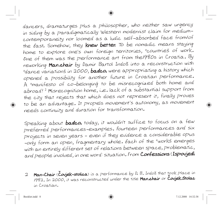dancers, dramaturges plus a philosopher, who neither saw urgency in siding by a paradigmatically Western modernist claim for mediumcontemporaneity nor loomed as a ludic self-absorbed face from/of the East. Somehow, they knew better. To be nomadic means staying home to explore one's own foreign territories, "countries of work. One of them was the performance art from the1980s in Croatia. By reworking Man.chair by Damir Bartol Indoš into a reconstruction with "dance variations in 2000, badco. were appropriating a history which opened a possibility for another future in Croatian performance. A "manifesto of co-belonging" to be misrecognized both home and abroad! <sup>2</sup> Misrecognition home, i.e. lack of a substantial support from the city that rejects that which does not represent it, finally proves to be an advantage. It propels movement's autonomy, as movement needs continuity and duration for transformation.

Speaking about badco. today, it wouldn't suffice to focus on a few preferred performances-examples. Fourteen performances and six projects in seven years – even if they evidence a considerable opus -only form an open, fragmentary whole. Each of the "work's emerges with an entirely different set of relations between space, problematic, and people involved, in one word: situation. From Confessions (Ispovjedi

2 Man-Chair (Covjek-stolica) is a performance by D. B. Indos that took place in 1982. In 2000, it was reconstructed under the title Man.chair or Covjek.Stolac in Croatian.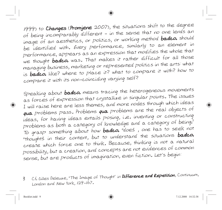1999) to Changes (Promjene 2007), the situations shift to the degree of being incomparably different – in the sense that no one lends an image of an aesthetics, or politics, or working method **badco**. should be identified with. Every performance, similarly to an element in performance, appears as an expression that modifies the whole that we thought **badco**, was. That makes it rather difficult for all those managing business, marketing or represented politics in the arts: what is **badco.** like? where to place it? what to compare it with? how to compare it with its non-coinciding varying self?

Speaking about **badco**, means tracing the heterogeneous movements as forces of expression that crystallize in singular points. The issues I will raise here are less themes, and more nodes through which ideas qua problems pass. Problems qua problems are the real objects of ideas, for having ideas entails posing, i.e. inventing or constructing problems as both a category of knowledge and a category of being.<sup>3</sup> To grasp something about how badco. "does, one has to seek not "thoughts" in their content, but to understand the situations **badco.** create which force one to think. Because, thinking is not a natural possibility, but a creation, and concepts are not evidences of common sense, but are products of imagination, even fiction. Let's begin:

3 Cf. Gilles Deleuze, "The Image of Thought" in Difference and Repetition, Continuum, London and New York, 129-167.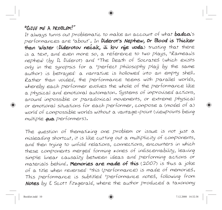## "GIVE ME A PROBLEM!"

It always turns out problematic to make an account of what **badco**.'s performances are "about". In Diderot's Nephew, Or Blood is Thicker than Water (Diderotov necak, ili krv nije voda) trusting that there is a text, and even more so, a reference to two plays, "Rameau's nephew" (by D. Diderot) and "The Death of Socrates" (which exists only in the synopsis for a "perfect philosophy play" by the same author) is betrayed: a narrative is hollowed into an empty shell. Rather than voided, the performance teems with parallel worlds, whereby each performer evolves the whole of the performance like a physical and emotional automaton. Systems of improvised actions, around impossible or paradoxical movements, or extreme physical or emotional situations for each performer, compose a (model of  $a$ ) world of compossible worlds without a vantage-point (viewpoints being  $multiple$   $qua$  performers).

⊕

The question of thematizing one problem or issue is not just a misleading shortcut, it is like cut ting out a multiplicity of components, and then trying to unfold relations, connections, encounters in which these components merged forming zones of indiscernability, leaving simple linear causality between ideas and performing actions or materials behind. Memories are made of this  $(2007)$  is thus a joke of a title when reversed: "this (performance) is made of memories. This performance is subtitled "performance notes, following from Notes by F. Scott Fitzgerald, where the author produced a taxonomy

⊕

 $\bigoplus$  $\overline{a}$  menefreghista - one who simply did not give a  $\overline{a}$ .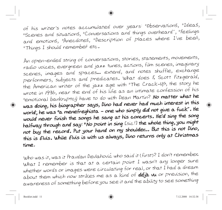of his writer's notes accumulated over years: "Observations, "Ideas, "Scenes and situations, "Conversations and things overheard", "Feelings and emotions, "Anecdotes, "Description of places where I've been, "Things I should remember" etc.

An open-ended string of conversations, stories, statements, movements, radio voices, evergreen and jazz tunes, actions, film scenes, imaginary scenes, images and spaces… extend, and notes shuffle, exchange performers, subjects and predicates. What does F. Scott Fitzgerald, the American writer of the jazz age with "The Crack-Up", the story he wrote in 1936, near the end of his life as an intimate confession of his "emotional bankruptes" have to do with Dean Martin? No matter what he was doing, his biographer says, Dino had never had much interest in this world; he was "a menefreghista - one who simply did not give a fuck". He would never finish the songs he sang at his concerts. He'd sing the song halfway through and say: "No point in sing [sic!] the whole thing, you might not buy the record. Put your hand on my shoulder... But this is not Dino, this is Elvis. While Elvis is with us always, Dino returns only at Christmas time.

Who was it, was it Pravdan Devlahović who said it (first)? I don't remember. What I remember is that at a certain point I wasn't any longer sure whether words or images were circulating for real, or that I had a dream about them which now strikes me as a kind of déjà vu or prevision, the awareness of something before you see it and the ability to see something

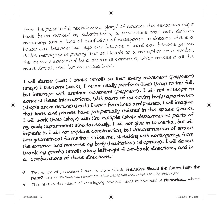from the past in full technicolour glory.<sup>4</sup> Of course, this sensation might have been evoked by substitutions, a procedure that both defines metonymy and a kind of confusion of categories in dreams where a house can become two legs can become a word can become yellow. Unlike metonymy in poetry that still leads to a metaphor or a symbol, the memory construed by a dream is concrete, which makes it all the more virtual, real but not actualized.

I will dance (live) ( shop) (stroll) so that every movement (payment) (step) I perform (walk), I never really perform (live) (pay) to the full, but interrupt with another movement (payment). I will not attempt to connect these interruptions. With parts of my moving body (apartment) (shop's architecture) (path) I won't form lines and planes, I will imagine that lines and planes have perpetually existed in this space (park). I will work (live) (shop) with (in) multiple (shop departments) parts o<sup>f</sup> my body (apartment) simultaneously. I will not give in to inertia, but will impede it. I will not explore construction, but deconstruction of space into geometrical forms that strike me, speaking with contingency, from the exterior and motorise my body (habitation) (shopping). I will dance (pack my goods) (stroll) along left-right-front-back directions, and in all combinations of those directions. *<sup>5</sup>*

- 4 The notion of prevision I owe to Liam Gillick, Prevision: Should the future help the past? see HTTP://WWW.UNITEDNATIONSPLAZA.ORG/READINGROOM/GILLICK\_PREVISION.PDF
	- This text is the result of overlaying several texts performed in **Memories...** where

⊕

♠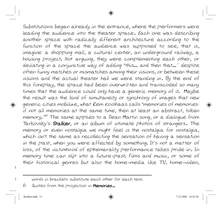Substitutions began already in the entrance, where the performers were leading the audience into the theater space. Each one was describing another space with radically different architecture according to the function of the space the audience was supposed to see, that is, imagine: a shopping mall, a cultural center, an underground railway, a housing project. Not arguing, they were complementing each other, or deviating in a conjunctive way of adding "this… and then that…" despite often funny matches or mismatches among their visions, or between these visions and the actual theater hall we were standing in. By the end of this foreplay, the space had been overwrit ten and transcoded so many times that the audience could only have a generic memory of it. Maybe the result was the kind of simultaneity or synchrony of images that new generic cities mobilize, what Rem Koolhaas calls "memories of memories: if not all memories at the same time, then at least an abstract, token memory."6\* The same applies to a Dean Martin song, or a dialogue from Tarkovsky's Stalker, or an album of intimate photos of strangers. The memory or even nostalgia we might feel is the nostalgia for nostalgia, which isn't the same as recollecting the sensation of having a sensation in the past, when you were affected by something. It's not a mat ter of loss, of the victimhood of ephemarality performance takes pride in. In memory time can slip into a future-past. Films and music, or some of their historical genres but also the home-media like TV, home-video,

⊕

Memories… <sup>e</sup>

Prevision: Should the future help the

 $\epsilon$ that lines and planes have perpetually existed in this space (park).

 $b$  Quotes from the projection in **Memories..** 

words in brackets substitute each other for each text.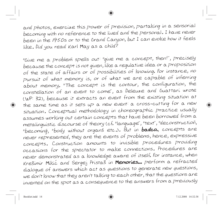and photos, exercize this power of prevision, partaking in a sensorial becoming with no reference to the lived and the personal. I have never been in the 1950s or to the Grand Canyon, but I can evoke how it feels like. Did you read Karl May as a child?

"Give me a problem" spells out: "give me a concept, then!", precisely because the concept is not given, like a regulative idea or a proposition of the state of affairs or of possibilities of knowing. For instance, no pursuit of what memory is, or of what we are capable of inferring about memory. "The concept is the contour, the configuration, the constellation of an event to come", as Deleuze and Guattari wrote (WP: 32), because it extracts an event from the existing situation at the same time as it sets up a new event: a cross-cutting for a new situation. Conceptual methodology in choreographic practice usually assumes working out certain concepts that have been borrowed from a metalinguistic discourse of theory (cf. "language", "text", "deconstruction", "becoming, "body without organs etc.). But in badco., concepts are never represented, they are the events of problems, hence, expressive concepts. Construction amounts to invisible procedures providing occasions for the spectator to make connections. Procedures are never demonstrated as a knowledge aware of itself. For instance, when Krešimir Mikić and Sergej Pristaš in Memories... perform a refracted dialogue of answers which act as questions to generate new questions, we don't know that they aren't talking to each other, that the questions are invented on the spot as a consequence to the answers from a previously

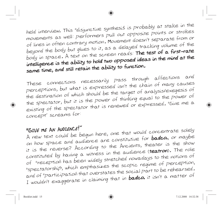◈

held interview. This "disjunctive synthesis" is probably at stake in the movements as well: performers pull out opposite points or strokes of lines in often contrary motion. Movement doesn't separate from or beyond the body but glues to it, as a delayed tracking volume of the body in space. A text on the screen reads: The test of a first-rate intelligence is the ability to hold two opposed ideas in the mind at the same time, and still retain the ability to function.

◈

These connections necessarily pass through affections an<sup>d</sup> perceptions, but what is expressed isn't the chain of many causes the destination of which should be the target of analysis/exegesis of the spectator, but it is the power of thinking equal to the power o<sup>f</sup> existing of the spectator that is renewed or expressed. "Give me a concept" screams for:

# "GIVE ME AN AUDIENCE!"

A new text could be begun here, one that would concentrate solely on how space and audience are constitutive for **badco.**, or maybe it is the reverse? According to the Ancients, theater is the show constituted by having a witness in the audience (teatron). The role of "reception" has been widely stretched nowadays to the notions of "spectatorship", which emphasizes the scopic regime of perception, and of "participation" that overstates the social part to be rehearsed. I wouldn't exaggerate in claiming that in **badco**. it isn't a matter of

♠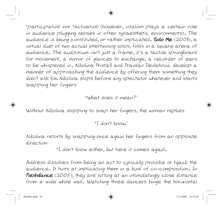"participation" nor "activation" (however, vitalism plays a certain role in audience plugging senses in often synaesthetic environments). The audience is being constituted, or rather implicated. Solo Me (2003),  $a$ virtual duet of two actual intertwining solos, folds in a square arena of audience. The auditorium isn't just a frame, it's a tactile springboard for movement, a mirror of glances to exchange, a recorder of ears to be whispered in. Nikolina Pristaš and Pravdan Devlahović develop a manner of approaching the audience by offering them something they didn't ask for. Nikolina stops before any spectator whatever and starts snapping her fingers:

"What does it mean?"

Without Nikolina stopping to snap her fingers, the woman replies:

"I don't know."

Nikolina retorts by snapping once again her fingers from an opposite direction:

"I don't know either, but here it comes again".

Address dissolves from being an act to cynically provoke or hijack the audience. It hints at implicating them in a kind of co-composition. In Fleshdance (2005), they are sitting at an intimidatingly close distance from a wide white wall. Watching three dancers hinge the horizontal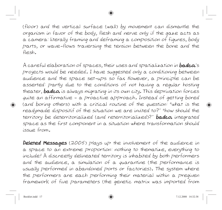(floor) and the vertical surface (wall) by movement can dismantle the organism in favor of the body, flesh and nerve only if the gaze acts as a camera: literally framing and deframing a composition of figures, body parts, or wave-flows traversing the tension between the bone and the flesh.

A careful elaboration of spaces, their uses and spatialization in **badco.**'s projects would be needed. I have suggested only a conditioning between audience and the space set-ups so far. However, a principle can be asserted: partly due to the conditions of not having a regular hosting theater, **badco.** is always migrating in its own city. This deprivation forces quite an affirmative - a proactive approach. Instead of getting bored (and boring others) with a critical routine of the question: "what is the readymade dispositif of the situation we are invited to?" "how should the territory be deterritorialized (and reterritorialized)?" **badco.** integrated space as the first component in a situation where transformation should issue from.

Deleted Messages (2005) plays up the involvement of the audience in a space to an extreme proportion: nothing to thematize, everything to include! A discreetly delineated territory is inhabited by both performers and the audience, a simulation of a quarantine (the performance is usually performed in abandoned ports or factories). The system where the performers are each performing their material within a pregiven framework of five parameters (the genetic matrix was imported from

⊕

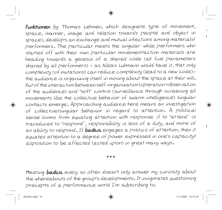Funktionen by Thomas Lehmen, which designate type of movement, space, manner, image and relation towards people and object in space), develops an exchange and mutual infections among materials/ performers. The particular meets the singular: while performers who started off with their own particular movement/action materials are heading towards a genesis of a shared code (all five parameters shared by all performers) – as Niklas Luhmann would have it, that only complexity (of mutations) can reduce complexity (lead to a new code) the audience is organizing itself in moving about the space at their will. Out of the interaction between self-organization (operation+observation of the audience) and "soft" control (surveillance through screening all movements like the collective behavior of swarm intelligence) singular contacts emerge. Approaching audience here means an investigation of collective/singular behavior in regard to at tention. A political sense looms from equating at tention with response: if to "at tend" is transduced to "respond", responsibility is less of a duty, and more of an ability to respond. If  $b$ adco. engages a politics of attention, then it equates at tention to a degree of power expressed in one's capacity/ disposition to be affected (acted upon) in great many ways.

⊕

#### \*\*\*

Meeting **badco.** every so often doesn't only answer my curiosity about the whereabouts of the group's developments. It invigorates questioning precepts of a performance world I'm subscribing to.

♠

A n

t

◈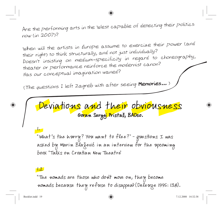Are the performing arts in the West capable of detecting their politics now (in 2007)?

⊕

When will the artists in Europe assume to exercize their power (an<sup>d</sup> their right) to think structurally, and not just individually? Doesn't insisting on medium-specificity in regard to choreography, theater or performance reinforce the modernist canon? Has our conceptual imagination waned?

(The questions I left Zagreb with after seeing Memories...)



"What's the hurry? You want to flee?" – questions I was asked by Marin Blažević in an interview for the upcoming book "Talks on Croatian New Theatre"

### $\overline{1.2}$

1.

"The nomads are those who don't move on, they become nomads because they refuse to disappear (Deleuze 1995: 138).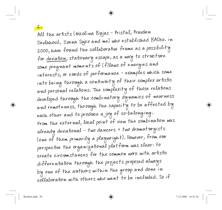2. All the artists (Nikolina Bujas – Pristaš, Pravdan Devlahović, Ivana Sajko and me) who established BADco. in 2000, have found the collaborative frame as a possibility for deviation, stationary escape, as a way to structure some pregnant moments of (f)laws of energies and interests, or curds of performance - examples which come into being through a continuity of their complex artistic and personal relations. The complexity of those relations developed through the combinatory dynamics of nearness and remoteness, through the capacity to be affected by each other and to produce a joy of co-belonging. From the external, local point of view the combination was already deviational - two dancers + two dramaturgists (one of them primarily a playwright). However, from our perspective the organizational platform was clear: to create circumstances for the common work with artistic differentiation through the projects proposed always by one of the authors within the group and done in collaboration with others who want to be included. So if

⊕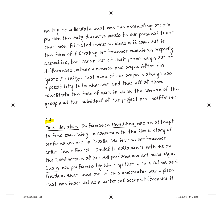we try to articulate what was the assembling artistic position the only derivative would be our personal trust that non-filtrated invested ideas will come out in the form of filtrating performance machines, properly assembled, but taken out of their proper ways, out of differences between common and proper. After five years I realize that each of our projects always had a possibility to be whatever and that all of them constitute the face of work in which the common of the group and the individual of the project are indifferent.

◈

#### 2.1.

First deviation: Performance Man.Chair was an attempt to find something in common with the live history of performance art in Croatia. We invited performance artist Damir Bartol – Indoš to collaborate with us on the "cover" version of his 1981 performance art piece Man. Chair, now performed by him together with Nikolina and Pravdan. What came out of this encounter was a piece that was inactual as a historical account (because it

♠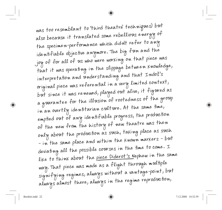↔

was too resemblant to "third theatre" techniques) but also because it translated some rebellious energy of the specimen-performance which didn't refer to any identifiable objective anymore. The big fun and the joy of for all of us who were working on that piece was that it was operating in the slippage between knowledge, interpretation and understanding and that Indoš's original piece was referential in a very limited context, but since it was renewed, played out alive, it figured as a guarantee for the illusion of rootedness of the group in an overtly identitarian culture. At the same time, emptied out of any identifiable progress, the production of the new from the history of new theatre was then only about the production as such, taking place as such - in the same place and within the known markers - but deviating all the possible courses in the time to come. I like to think about the piece Diderot's Nephew in the same way. That piece was made as a flight through multiple signifying regimes, always without a vantage-point, but always almost there, always in the regime reproduction,

◈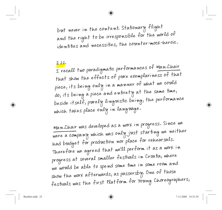♠

◈

but never in the content. Stationary flight and the right to be irresponsible for the world of identities and necessities, the counter-mock-heroic.

#### 2.1.1.

I recall two paradigmatic performances of Man.Chair that show the effects of pure exemplariness of that piece, its being only in a manner of what we could do, its being a piece and entirety at the same time, beside itself, purely linguistic being, the performance which takes place only in language.

Man.Chair was developed as a work in progress. Since we were a company which was only just starting we neither had budget for production nor place for rehearsals. Therefore we agreed that we'll perform it as a work in progress at several smaller festivals in Croatia, where we would be able to spend some time in some room an<sup>d</sup> show the work afterwards, as passersby. One of those festivals was the first Platform for Young Choreographers, ♠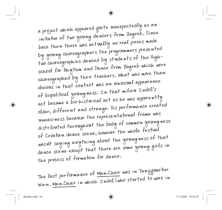♠

uneasiness because the representational frame was distributed throughout the body of common youngness of Croatian dance scene, however the whole festival wasn't saying anything about the youngness of that dance scene except that there are some young girls in the process of formation for dance. The last performance of Man.Chair was in Tanzquartier Wien. Man.Chair in which Indoš (who started to work in Booklet.indd 24 7.12.2008 14:32:39

a project which appeared quite unexpectedly as an initiative of two young dancers from Zagreb. Since back then there was actually no real pieces made by young choreographers the programmers presented two choreographies danced by students of the Highschool for Rhythm and Dance from Zagreb which were choreographed by their teachers. What was more than obvious in that context was an unusual appearance of biopolitical youngness. In that milieu Indoš's act became a bio-historical act as he was apparently older, different and strange. His performance created

◈

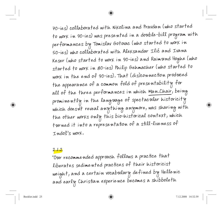70-ies) collaborated with Nikolina and Pravdan (who started to work in 90-ies) was presented in a double-bill program with performances by Tomislav Gotovac (who started to work in 50-ies) who collaborated with Aleksandar Ilić and Ivana Keser (who started to work in 90-ies) and Raimund Hoghe (who started to work in 80-ies) Philip Gehmacher (who started to work in the end of 90-ies). That (dis)connection produced the appearance of a common fold of presentability for all of the three performances in which Man.Chair, being prominently in the language of spectacular historicity which doesn't reveal anything anymore, was sharing with the other works only this bio-historical context, which turned it into a representation of a still-liveness of Indoš's work.

◈

#### 2.1.2

"Our recommended approach follows a practice that liberates sedimented practices of their historicist weight, and a certain vocabulary defined by Hellenic and early Christian experience becomes a shibboleth

↔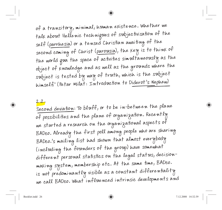of a transitory, minimal, human existence. Whether we talk about Hellenic techniques of subjectivisation of the self (parrhesia) or a tensed Christian awaiting of the second coming of Christ (parousia), the key is to think of the world qua the space of activities simultaneously as the object of knowledge and as well as the grounds where the subject is tested by way of truth, which is the subject himself." (Petar Milat: Introduction to Diderot's Nephew)

⊕

### 2.2.

⇔

Second deviation: To bluff, or to be in-between the plane of possibilities and the plane of organization. Recently we started a research on the organizational aspects of BADco. Already the first poll among people who are sharing BADco.'s mailing list had shown that almost everybody (including the founders of the group) have somewhat different personal statistics on the legal status, decisionmaking system, membership etc. At the same time, BADco. is not predominantly visible as a constant differentiality we call BADco. What influenced intrinsic developments and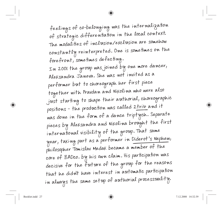feelings of co-belonging was the internalization of strategic differentiation in the local context. The modalities of inclusion/exclusion are somehow constantly reinterpreted. One is sometimes on the forefront, sometimes defecting. In 2001 the group was joined by one more dancer, Aleksandra Janeva. She was not invited as a performer but to choreograph her first piece together with Pravdan and Nikolina who were also just starting to shape their authorial, choreographic positions – the production was called 2tri4 and it was done in the form of a dance triptych. Separate pieces by Aleksandra and Nikolina brought the first international visibility of the group. That same year, taking part as a performer in Diderot's Nephew, philosopher Tomislav Medak became a member of the core of BADco. by his own claim. His participation was decisive for the future of the group for the reasons that he didn't have interest in automatic participation in always the same setup of authorial processuality.

◈

♠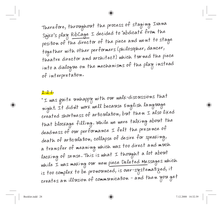Therefore, throughout the process of staging Ivana Sajko's play RibCage I decided to "abdicate" from the position of the director of the piece and went to stage together with other performers (philosopher, dancer, theatre director and architect) which turned the piece into a dialogue on the mechanisms of the play instead of interpretation.

⊕

#### 2.2.1.

♠

"I was quite unhappy with our walk-discussions that night. It didn't work well because English language created shortness of articulation, but then I also liked that blockage filling. While we were talking about the deadness of our performance I felt the presence of death of articulation, collapse of desire for speaking, a transfer of meaning which was too direct and much lacking of sense. This is what I thought a lot about while I was making our new piece Deleted Messages which is too complex to be pronounced, is over-systematized, it creates an illusion of communication - and then you ge<sup>t</sup>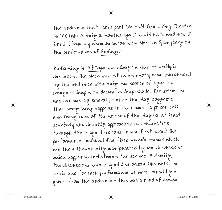⊕

the audience that takes part. We felt like Living Theatre

in '68 (which only 10 months ago I would hate and now I like.)" (from my communication with Mårten Spångberg on the performance of RibCage)

Performing in RibCage was always a kind of multiple defection. The piece was set in an empty room surrounded by the audience with only one source of light – a bourgeois lamp with decorative lamp-shade. The situation was defined by several points – the play suggests that everything happens in two rooms – a prison cell and living room of the writer of the play (or at least somebody who directly approaches the characters through the stage directions in her first case.) The performance included five fixed module scenes which are then thematically manipulated by our discussions which happened in-between the scenes. Actually, the discussions were staged like prison-like walks in circle and for each performance we were joined by a guest from the audience – this was a kind of escape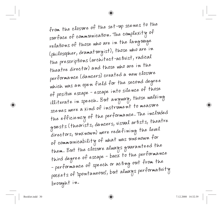♠

surface of communication. The complexity of relations of those who are in the language (philosopher, dramaturgist), those who are in the prescriptions (architect-activist, radical theatre director) and those who are in the performance (dancers) created a new closure which was an open field for the second degree of positive escape – escape into silence of those illiterate in speech. But anyway, those walking scenes were a kind of instrument to measure the efficiency of the performance. The included guests (theorists, dancers, visual artists, theatre directors, unknown) were redefining the level of communicability of what was unknown for them. But the closure always guaranteed the third degree of escape – back to the performance – performance of speech or acting out from the pockets of "spontaneous", but always performativity brought in.

from the closure of the set-up scenes to the

◈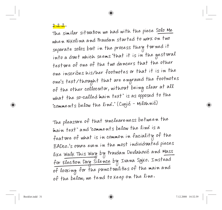$2.2.2.$ 

The similar situation we had with the piece Solo Me when Nikolina and Pravdan started to work on two separate solos but in the process they turned it into a duet which seems "that it is in the gestural texture of one of the two dancers that the other one inscribes his/her footnotes or that it is in the one's text/thought that are engraved the footnotes of the other collocutor, without being clear at all what the so-called "main text" is as opposed to the "comments below the line"." (Cveji<sup>ć</sup> – Milohnić)

◈

The pleasure of that uncleareness between the main text" and "comments below the line" is a feature of what is in common in faciality of the BADco.'s ouvre even in the most individuated pieces like Walk This Way by Pravdan Devlahovi<sup>ć</sup> and Mass for Election Day Silence by Ivana Sajko. Instead of looking for the punctualities of the main and of the below, we tend to keep on the line.

♠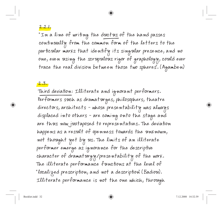2.2.1.

"In a line of writing the ductus of the hand passes continually from the common form of the letters to the particular marks that identify its singular presence, and no one, even using the scrupulous rigor of graphology, could ever trace the real division between those two spheres". (Agamben)

⊕

#### 2.3.

♠

Third deviation: Illiterate and ignorant performers. Performers such as dramaturges, philosophers, theatre directors, architects - whose presentability was always displaced into others - are coming onto the stage and are thus now juxtaposed to representatives. The deviation happens as a result of openness towards the unknown, not thought yet by us. The limits of an illiterate performer emerge as ignorance for the descriptive character of dramaturgy/presentability of the work. The illiterate performance functions at the level of "localized prescription, and not a description" (Badiou). Illiterate performance is not the one which, through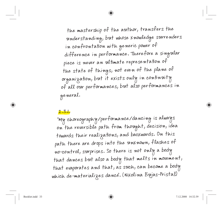the mastership of the author, transfers the understanding, but whose knowledge surrenders in confrontation with generic power o<sup>f</sup> difference in performance. Therefore a singular <sup>p</sup>iece is never an ultimate representation o<sup>f</sup> the state of things, not even of the plane of organization, but it exists only in continuity of all our performances, but also performances in general.

♠

#### 2.3.1.

"My choreography/performance/dancing is always on the reversible path from thought, decision, idea towards their realizations, and backwards. On this path there are drops into the unknown, flashes of no-control, surprises. So there is not only a body that dances but also a body that melts in movement, that evaporates and that, as such, can become a body which de-materializes dance". (Nikolina Bujas-Pristaš)

♠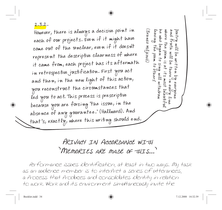2.3.2.

However, there is always a decisive point in each of our projects. Even if it might have come out of the unclear, even if it doesn't represent the descriptive clearness of where it came from, each project has its aftermath in retrospective justification. First you act and then, in the new light of this action, you reconstruct the circumstances that led you to act. This process is prescriptive because you are forcing "the issue, in the absence of any guarantee." (Hallward). And that's, exactly, where this writing should end. However, there is always a decisive point in<br>
each of our projects. Even if it might have<br>
come out of the unclear, even if it doesn't<br>
represent the descriptive clearness of where  $\frac{3}{25}$ <br>
it came from, each project h

"poetry will be written by everyone ć)

# PRIVACY IN ACCORDANCE WITH "MEMORIES ARE MADE OF THIS..."

⊕

Performance issues identification, at least in two ways. My task as an audience member is to interpret a series of utterances, a process that produces and consolidates identity in relation

◈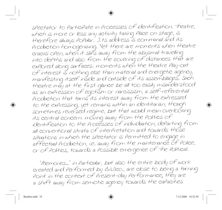spectator to participate in processes of identification. Theatre, which is more or less any activity taking place on stage, is therefore always popular. Its address is communal and its production homogenizing. Yet there are moments when theatre cracks open, when it slips away from the abysmal travelling into depths and also from the covering of distances that are explored along surfaces: moments when the theatre play-out of interest is nothing else than material and energetic agency, manifesting itself inside and outside of its assemblages. Such theatre may at the first glance be all too easily misunderstood as an expression of egotism or narcissism, a self-referential production that turns its interest away from the expressed to the expressing, yet remains within an identitarian, though sometimes reversed regime, but that would mean overlooking its central concern: moving away from the politics of identification to the processes of individuation, departing from all conventional strata of interpretation and towards those

⊕

situations in which the spectator is permitted to engage in affectual production, i.e. away from the maintenance of police, or of politics, towards a possible emergence of The Political.

"Memories…" in particular, but also the entire body of work created and performed by BADco., are close to being a turning point in the context of present-day performance; they are a shift away from semiotic agency towards the capacities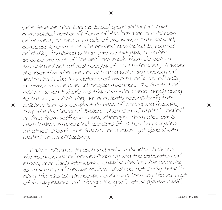of experience. This Zagreb-based group appears to have consolidated neither its form of performance nor its realm of content, or even its mode of production. Their assured, conscious ignorance of the context dominated by regimes of display, combined with an internal exegesis, or rather an elaborate care of the self, has made them develop an emancipated set of technologies of contemporaneity. However, the fact that they are not activated within any ideology of aesthetics is due to a determined mastery of a set of skills in relation to the given ideological machinery. The practice of BADco., which transforms this noun into a verb, largely owing to the way in which they are constantly reconsidering their collaboration, is a constant process of coding and recoding. Thus, the practicing of BADco., which is in no respect void of or free from aesthetic values, ideologies, form etc., but is nevertheless emancipated, consists of elaborating a system of ethics: specific in expression or medium, yet general with respect to its applicability.

BADco. operates through and within a paradox, between the technologies of contemporaneity and the elaboration of ethics, necessarily intimidating classical theatre while operating as an agency of creative actions, which do not simply break or obey the rules (simultaneously confirming them by the very act of transgression), but change the grammatical system itself,

 $\bigoplus$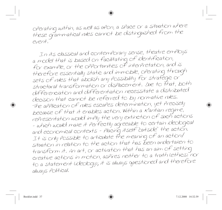operating within, as well as upon, a space or a situation where these grammatical rules cannot be distinguished from the event.

In its classical and contemporary sense, theatre employs a model that is based on facilitating of identification, for example, or the opportunities of interpretation, and is therefore essentially static and immobile, operating through sets of rules that abolish any possibility for strategic or structural transformation or displacement. Due to that, both differenciation and differentiation necessitate a distributed decision that cannot be referred to by normative rules. The application of rules escapes determination, yet precisely because of that it enables action. Within a Kantian regime, representation would imply the very extinction of such actions - which would make it perfectly agreeable to certain ideological and economical contexts - Placing itself butside" the action. It is only possible to articulate the meaning of an action/ situation in relation to the action that has been undertaken to transform it. An art, or activation that has an aim of setting creative actions in motion, aspires neither to a truth (ethics) nor to a statement (ideology); it is always questioned and therefore always Political.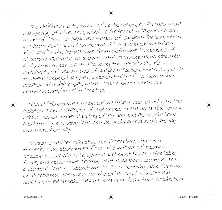The different articulation of participation, or perhaps more adequately of attention, which is proposed in "Memories are made of this…," implies new modes of subjectification, which are both political and existential. It is a kind of attention that shifts the perspective from defensive tendencies of structural allocation to a benevolent, heterogeneous allocation in dynamic resources, emphasizing the opportunity for a multiplicity of new modes of subjectification, which may apply to every engaged subject, independently of its hierarchical position, through equity rather than equality (which is a common watchword in theatre).

This differentiated mode of attention, combined with the insistence on multiplicity of experience in the used framework, addresses our understanding of privacy and its production/ productivity, a privacy that can be understood both literally and metaphorically.

Privacy is neither operative nor procedural, and must therefore be abstracted from the impulse of locating. Procedure consists of a general and identifiable, repeatable, finite, and descriptive formula that possesses content, but a content that is subordinate to its potentiality as a formula of production. Operation, on the other hand, is a specific, serial (non-repeatable), infinite, and non-descriptive production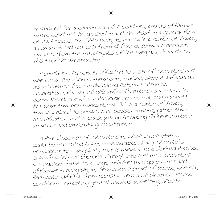prescribed for a certain set of procedures, and its effective nature could not be grasped in and for itself in a general form of its process. The opportunity to articulate a notion of privacy as emancipated not only from all formal, semantic content, but also from the metaphysics of the everyday, depends on this twofold directionality.

♠

Procedure is perpetually affiliated to a set of operations and vice versa. Operation is immanently multiple, since it safeguards its articulation from endangering potential openness. Articulation of a set of operations functions as a means to comprehend: not what a particular privacy may communicate, but what that communication is. It is a notion of privacy that is inclined to decisions or decision-making, rather than stratification, and is consequently producing differentiation in an active and empowering constitution.

A pure discourse of operations to which interpretation could be correlated is incommensurable, as any operation's contingent to a singularity that is relevant to a defined practice is immediately reprehended through interpretation. Operations are indeterminable to a single interpretative governance and effective in conguity to Permission instead of license, whereby permission differs from license in terms of direction: license conditions something general towards something specific,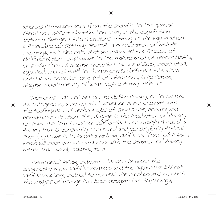whereas permission acts from the specific to the general. Operations support identification solely in the conjunction between divergent interpretations, relating to the way in which a procedure consistently develops a coordination of multiple meanings, with elements that are inscribed in a process of differentiation constitutive to the maintenance of reconcilability, or simply form. A singular procedure can be utilized, interpreted, adjusted, and adapted to fundamentally different intentions, whereas an operation, or a set of operations, is perpetually singular, independently of what regime it may refer to.

⊕

 $\bigoplus$ 

"Memories…" do not set out to define privacy, or to capture its ontogenesis; a privacy that would be commensurate with the techniques and technologies of surveillance, control and consumer-motivation. They engage in the production of privacy (or privacies) that is neither self-evident nor straightforward, a privacy that is constantly contested and consequently political. Their objective is to invent a radically different form of Privacy, which will intervene into and work with the situation of privacy rather than simply reacting to it.

"Memories…" initially indicate a tension between the conjunctive layout (differenciation) and the disjunctive laid out (differentiation), inclined to contest the mechanisms by which the analysis of change has been delegated to psychology,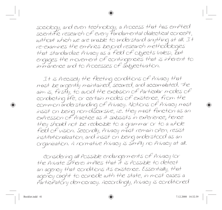sociology, and even technology, a process that has emptied scientific research of every fundamental dialectical concept, without which we are unable to understand anything at all. It re-examines the empirics beyond research methodologies that standardize privacy as a field of objects (rules), but

⊕

engages the movement of contingencies that is inherent to immanence and to processes of subjectivation.

It is precisely the fleeting conditions of privacy that must be urgently maintained, secured, and accumulated. The aim is, firstly, to avoid the exclusion of particular modes of conducting life, or certain modes of existence, from the common understanding of privacy. Notions of privacy must insist on being non-discursive, i.e. they must function as an expression of practice as it subsists in experience; hence they should not be reducible to a grammar or to a whole field of vision. Secondly, privacy must remain open, resist institutionalization, and insist on being understood as an organization. A normative privacy is simply no privacy at all.

Considering all possible endangerments of privacy (or the private sphere) implies that it is possible to detect an agency that conditions its existence. Essentially, that agency ought to coincide with the state, in most cases a participatory democracy. Accordingly, privacy is conditioned

⇔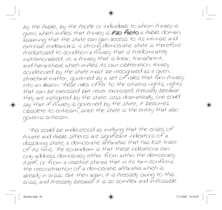by the public, by the people or individuals to whom privacy is  $q$ iven, which implies that privacy is i**pso facto** a public domain, assuming that the state can gain access to its intrinsic and extrinsic endeavours. A strong democratic state is therefore predisposed to condition a privacy that is predominately institutionalized, i.e. a privacy that is linear, transparent, and hierarchical, which implies its own obliteration. Arivacy conditioned by the state must be recognized as a given, structural matter, governed by a set of rules that turn privacy into an illusion. These rules offer to the citizens rights, rights that can be exercised but never exorcised, precisely because they are instigated by the state. Less dramatically, one could say that if Privacy is governed by the state, it becomes obsolete to criticism, since the state is the entity that also governs criticism.

⊕

This could be understood as implying that the crises of private and public spheres are significant indicators of a dissolving state, a democratic apparatus that has lost track of its time. The conundrum is that these indications can only address democracy either from within the democracy itself, or from a reactive stanza that in its turn confirms the reconstruction of a democratic apparatus which is already in crisis. But then again, it is precisely owing to this crisis, and precisely because it is so complex and impossible

 $\bigoplus$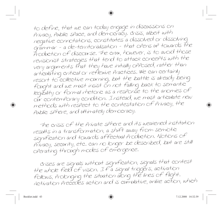to define, that we can today engage in discussions on privacy, public space, and democracy. Crisis, albeit with negative connotations, constitutes a dissolved or dissolving grammar - a de-territorialisation - that opens up towards the production of discourse. The crux, however, is to avoid those revisionist strategies that tend to attack concepts with the very arguments that they have initially opposed, rather than articulating critical or reflexive practices. We can certainly resort to collective mourning, but the battle is already being fought and we must insist on not falling back to semantic legibility or formal rhetoric as a response to the anomies of our contemporary condition. Instead, we must articulate new methods with respect to the contestation of privacy, the public sphere, and ultimately democracy.

⊕

The crisis of the private sphere and its weakened institution results in a transformation, a shift away from semiotic signification and towards affectual production. Notions of privacy, security, etc. can no longer be described, but are still operating through modes of emergence.

Crises are signals without signification, signals that contest the whole field of vision. If a signal triggers, activation follows, prolonging the situation along the lines of flight. Activation precedes action and is cumulative, unlike action, which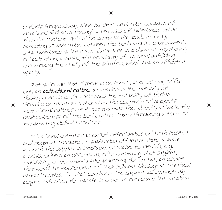unfolds progressively, step-by-step. Activation consists of irritations and acts through intensities of experience rather than its content. Activation captures the body in a way, cancelling all separation between the body and its environment. Its experience is the crisis. Experience is a dynamic ingathering of activation, assuring the continuity of its serial unfolding and moving the reality of the situation, which has an affective quality.

That is to say that discourse on privacy in crisis may offer only an **activational cuttine**: a variation in the intensity of feeling over time. It addresses the irritability of bodies (positive or negative) rather than the cognition of subjects. Activational outlines are perceptual cues that directly activate the responsiveness of the body, rather than reproducing a form or transmitting definite content.

Activational outlines can exploit opportunities of both positive and negative character. A suspended affectual state, a state in which the subject is incapable, or unable to identify e.g. a crisis, offers an opportunity of manipulating that subject, multiplicity, or community into searching for an exit, an escape that would be independent of their political, ideological, or ethical characteristics. In that condition, the subject will instinctively acquire capacities for escape in order to overcome the situation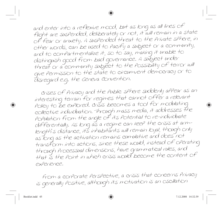and enter into a reflexive mood, but as long as all lines of flight are suspended, deliberately or not, it will remain in a state of fear or anxiety. A suspended threat to the private sphere, in other words, can be used to pacify a subject or a community, and to compartmentalize it, so to say, making it unable to distinguish good from bad governance. A subject under threat or a community subject to the possibility of terror will give permission to the state to circumvent democracy or to disregard e.g. the Geneva Convention.

⊕

Crises of privacy and the public sphere suddenly appear as an interesting terrain for regimes that cannot offer a relevant policy to be explored. Crisis becomes a tool for modulating collective individuation. Through mass media, it addresses the population from the angle of its potential to re-individuate differentially. As long as a regime can keep the crisis at armlength's distance, its inhabitants will remain loyal, though only as long as the activation remains cumulative and does not transform into actions, since these would, instead of operating through processual dimensions, have grammatical rules, and that is the point in which crisis would become the content of experience.

From a corporate perspective, a crisis that concerns privacy is generally positive, although its motivation is an oscillation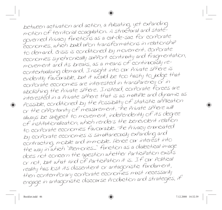between activation and action, a pulsating, yet expanding motion of territorial coagulation. A structural and stategoverned privacy functions as a cul-de-sac for corporate economies, which build upon transformations in relationship to demand. Crisis is conditioned by movement. Corporate economies synchronically support continuity and fragmentation, movement and its breaks, as a means of continuously recontextualizing demand. Insight into our private sphere is evidently favourable, but it would be too hasty to judge that corporate economies are interested in transparency or in abolishing the private sphere. Instead, corporate forces are interested in a private sphere that is as multiple and dynamic as Possible, conditioned by the Possibility of statistic application or the opportunity of measurement. The private sphere will always be subject to movement, independently of its degree of institutionalization, which renders the benevolent relation to corporate economies favourable. The privacy enunciated by corporate economies is simultaneously expanding and contracting, mobile and immobile. Hence our interest into the way in which "Memories…" function as a dialectical image does not concern the question whether participation exists or not, but what kind of participation it is. If our political reality has lost its dissentient or antagonistic fundament, then contemporary corporate economies must necessarily engage in antagonistic discourse production and strategies, if

 $\bigoplus$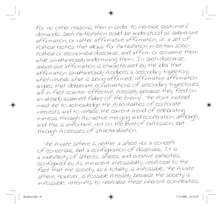for no other reasons, then in order to increase customers' demands. Such participation could be understood as subversive affirmation, or rather affirmative affirmation, i.e. a set of political tactics that allows for participation in certain sociopolitical or economical discourse, and affirm or consume them while simultaneously undermining them. In such discourse, subversive affirmation is characterized by the idea that affirmation simultaneously produces a secondary trajectory, which reveals what is being affirmed. Affirmative affirmation argues that deliberate constructions of secondary trajectories are in fact counter-effective, Precisely because they feed on an already assumed failure of the enemy". The point instead must be to acknowledge the potentialities of corporate interests and to replace the current trend of celebrating mimesis through pro-active merging and cooperation, although, and this is important, not on the level of expression, but through processes of structuralization.

⊕

The private sphere is neither a space nor a concept of consensus, but a configuration of dissensus. It is a multiplicity of spheres, spaces, and creative capacities, configured by its immanent impossibility, reciprocal to the fact that the society, as a totality, is impossible. The private sphere, however, is possible precisely because the society is impossible. Attempts to neutralize these inherent complexities,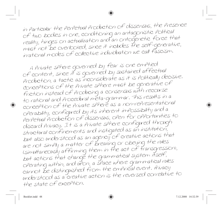in particular the perpetual production of dissensus, the presence of two bodies in one, conditioning an antagonistic political reality, hinges on actualization and an ontogenetic force that must not be overlooked, since it includes the self-generative, irrational modes of collective individuation we call fascism.

A private sphere governed by fear is one emptied of content, since it is governed by sustained affectual production, a tactic as inconsiderate as it is politically decisive. Conceptions of the private sphere must be generative of friction instead of producing a consensus with recourse to rational and procedural meta-grammar. This results in a conception of the private sphere as a non-representational operability, configured by its inherent impossibility and a perpetual production of dissensus, open for opportunities to discard privacy. It is a private sphere configured through structural confinements and instigated as an institution, but also understood as an agency of creative actions that are not simply a matter of breaking or obeying the rules (simultaneously affirming them in the act of transgression), but actions that change the grammatical system itself, operating within, and upon, a space where grammatical rules cannot be distinguished from the empirical event. Aivacy understood as a creative action is the reversed correlative to the state of exception.

 $\bigcirc$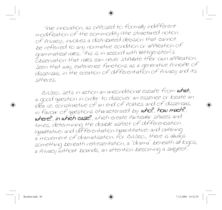True innovation, as opposed to formally indifferent modification of the commodity (the structured notion of privacy), involves a distributed decision that cannot be referred to any normative condition or application of grammatical rules. This is in accord with Wittgenstein's observation that rules can never stipulate their own application. Seen that way, experience functions as a generative principle of dissensus, in the creation of differentiation of privacy and its spheres.

⊕

BADco. sets in action an unconditional escape from what; a good question in order to discover an essence or locate an idea i.e. constructive of an end of politics and of dissensus, in favour of questions characterized by: who?, how much?, where?, in which case?, which create particular spaces and times, determining the double aspect of differenciation (qualitative) and differentiation (quantitative) and outlining a movement of dramatisation. For BADco., there is always something beneath representation, a "drama" beneath all logos, a privacy without bounds, an attention becoming a subject.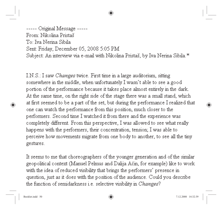----- Original Message -----From: Nikolina Pristaš To: Iva Nerina Sibila Sent: Friday, December 05, 2008 5:05 PM Subject: An interview via e-mail with Nikolina Pristaš, by Iva Nerina Sibila.\*

◈

I.N.S.: I saw Changes twice. First time in a large auditorium, sitting somewhere in the middle, when unfortunately I wasn't able to see a good portion of the performance because it takes place almost entirely in the dark. At the same time, on the right side of the stage there was a small stand, which at first seemed to be a part of the set, but during the performance I realized that one can watch the performance from this position, much closer to the performers. Second time I watched it from there and the experience was completely different. From this perspective, I was allowed to see what really happens with the performers, their concentration, tension; I was able to perceive how movements migrate from one body to another, to see all the tiny gestures.

It seems to me that choreographers of the younger generation and of the similar geopolitical context (Manuel Pelmus and Dalija Aćin, for example) like to work with the idea of reduced visibility that brings the performers' presence in question, just as it does with the position of the audience. Could you describe the function of semidarkness i.e. selective visibility in Changes?

◈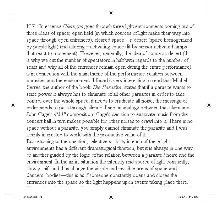N.P.: In essence *Changes* goes through three light environments coming out of three ideas of space; open field (in which sources of light make their way into space through open entrances), cleared space  $-$  a desert (space homogenized by purple light) and altering – activating space (lit by sensor activated lamps that react to movement). However, generally, the idea of space as desert (this is why we cut the number of spectators in half with regards to the number of seats and why all of the entrances remain open during the entire performance) is in connection with the main theme of the performance: relation between parasites and the environment. I found it very interesting to read that Michel Serres, the author of the book The Parasite, states that if a parasite wants to seize power it always has to eliminate of all other parasites in order to take control over the whole space, it needs to eradicate all noise; the message of order needs to pass through silence. I see an analogy between that claim and John Cage's 4'33" composition. Cage's decision to evacuate music from the concert hall in turn makes possible for other noises to crawl into it. There is no space without a parasite, you simply cannot eliminate the parasite and I was keenly interested to work with the productive value of it. But returning to the question, selective visibility in each of these light environments has a different dramaturgical function, but it is always in one way or another guided by the logic of the relation between a parasite / noise and the environment. In the initial situation the intensity and source of light constantly, slowly shift and thus change the visible and invisible areas of space and

◈

dancers' bodies—this is as if someone constantly opens and closes the entrances into the space so the light happens upon events taking place there.

◈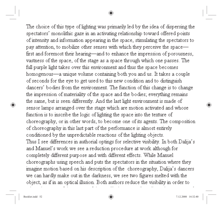The choice of this type of lighting was primarily led by the idea of dispersing the spectators' monolithic gaze in an activating relationship toward offered points of intensity and information appearing in the space, stimulating the spectators to pay attention, to mobilize other senses with which they perceive the space first and foremost their hearing—and to enhance the impression of porousness, vastness of the space, of the stage as a space through which one passes. The full purple light takes over this environment and thus the space becomes homogenous—a unique volume containing both you and us. It takes a couple of seconds for the eye to get used to this new condition and to distinguish dancers' bodies from the environment. The function of this change is to change the impression of materiality of the space and the bodies; everything remains the same, but is seen differently. And the last light environment is made of sensor lamps arranged over the stage which are motion activated and whose function is to inscribe the logic of lighting the space into the texture of choreography, or in other words, to become one of its agents. The composition of choreography in this last part of the performance is almost entirely conditioned by the unpredictable reactions of the lighting objects. Thus I see differences in authorial optings for selective visibility. In both Dalija's and Manuel's work we see a reduction procedure at work although for completely different purpose and with different effects. While Manuel choreographs using speech and puts the spectators in the situation where they imagine motion based on his description of the choreography, Dalija's dancers we can hardly make out in the darkness, we see two figures melted with the

◈

◈

♠

object, as if in an optical illusion. Both authors reduce the visibility in order to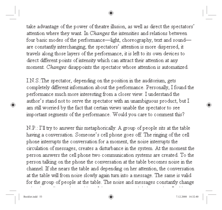take advantage of the power of theatre illusion, as well as direct the spectators' attention where they want. In *Changes* the intensities and relations between four basic modes of the performance—light, choreography, text and sound are constantly interchanging; the spectators' attention is more dispersed, it travels along those layers of the performance, it is left to its own devices to direct different points of intensity which can attract their attention at any moment. Changes disappoints the spectator whose attention is automatized.

I.N.S. The spectator, depending on the position in the auditorium, gets completely different information about the performance. Personally, I found the performance much more interesting from a closer view. I understand the author's stand not to serve the spectator with an unambiguous product, but I am still worried by the fact that certain views unable the spectator to see important segments of the performance. Would you care to comment this?

N.P.: I'll try to answer this metaphorically: A group of people sits at the table having a conversation. Someone's cell phone goes off. The ringing of the cell phone interrupts the conversation for a moment, the noise interrupts the circulation of messages, creates a disturbance in the system. At the moment the person answers the cell phone two communication systems are created. To the person talking on the phone the conversation at the table becomes noise in the channel. If she nears the table and depending on her attention, the conversation at the table will from noise slowly again turn into a message. The same is valid for the group of people at the table. The noise and messages constantly change

♠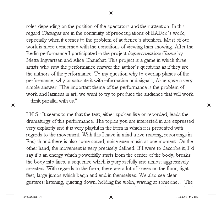roles depending on the position of the spectators and their attention. In this regard Changes are in the continuity of preoccupations of BADco's work, especially when it comes to the problem of audience's attention. Most of our work is more concerned with the conditions of viewing than showing. After the Berlin performance I participated in the project Impersonation Game by Mette Ingvartsen and Alice Chauchat. This project is a game in which three artists who saw the performance answer the author's questions as if they are

◈

the authors of the performance. To my question why to overlap planes of the performance, why to saturate it with information and signals. Alice gave a very simple answer: "The important theme of the performance is the problem of work and laziness in art, we want to try to produce the audience that will work - think parallel with us."

I.N.S.: It seems to me that the text, either spoken live or recorded, leads the dramaturgy of this performance. The topics you are interested in are expressed very explicitly and it is very playful in the form in which it is presented with regards to the movement. With this I have in mind a live reading, recordings in English and there is also some sound, noise even music at one moment. On the other hand, the movement is very precisely defined. If I were to describe it, I'd say it's an energy which powerfully starts from the center of the body, breaks the body into lines, a sequence which is purposefully and almost aggressively arrested. With regards to the form, there are a lot of knees on the floor, tight feet, large jumps which begin and end in themselves. We also see clear gestures: listening, quieting down, holding the violin, waving at someone... The

⊕

◈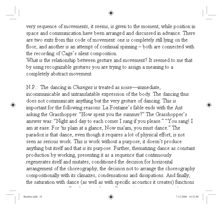very sequence of movements, it seems, is given to the moment, while position in space and communication have been arranged and discussed in advance. There are two exits from this code of movement: one is completely still lying on the floor, and another is an attempt of continual spinning - both are connected with

◈

What is the relationship between gesture and movement? It seemed to me that by using recognizable gestures you are trying to assign a meaning to a completely abstract movement.

the recording of Cage's silent composition.

N.P.: The dancing in *Changes* is treated as noise—immediate, incommunicable and untranslatable expression of the body. The dancing thus does not communicate anything but the very gesture of dancing. This is important for the following reasons: La Fontaine's fable ends with the Ant asking the Grasshopper: "How spent you the summer?" The Grasshopper's answer was: "Night and day to each comer I sang if you please." "You sang! I am at ease: For 'tis plain at a glance, Now ma'am, you must dance." The paradox is that dance, even though it requires a lot of physical effort, is not seen as serious work. This is work without a purpose, it doesn't produce anything but itself and that is its purpose. Further, thematizing dance as constant production by working, presenting it as a sequence that continuously regenerates itself and mutates, conditioned the decision for horizontal arrangement of the choreography, the decision not to arrange the choreography compositionally with its climaxes, condensations and dissipations. And finally, the saturation with dance (as well as with specific acoustics it creates) functions

♠

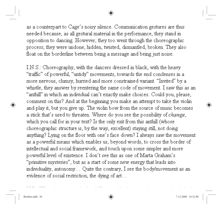as a counterpart to Cage's noisy silence. Communication gestures are thus needed because, as all gestural material in the performance, they stand in opposition to dancing. However, they too went through the choreographic process; they were undone, hidden, twisted, dismantled, broken. They also float on the borderline between being a message and being just noise.

I.N.S.: Choreography, with the dancers dressed in black, with the heavy "traffic" of powerful, "untidy" movements, towards the end condenses in a more nervous, clumsy, hurried and more constrained variant. "Invited" by a whistle, they answer by reentering the same code of movement. I saw this as an "anthill" in which an individual can't exactly make choices. Could you, please, comment on this? And at the beginning you make an attempt to take the violin and play it, but you give up. The violin bow from the source of music becomes a stick that's used to threaten. Where do you see the possibility of change, which you call for in your text? Is the only exit from this anthill (whose choreographic structure is, by the way, excellent) staying still, not doing anything? Lying on the floor with one's face down? I always saw the movement as a powerful means which enables us, beyond words, to cross the border of intellectual and social framework, and touch upon some simpler and more powerful level of existence. I don't see this as one of Marta Graham's "primitive mysteries", but as a start of some new energy that leads into individuality, autonomy... Quite the contrary, I see the body/movement as an evidence of social restriction, the dying of art...

♠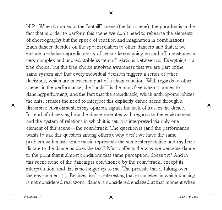N.P.: When it comes to the "anthill" scene (the last scene), the paradox is in the fact that in order to perform this scene we don't need to rehearse the elements

◈

of choreography but the speed of reaction and imagination in combinations. Each dancer decides on the spot in relation to other dancers and that, if we include a relative unpredictability of sensor lamps going on and off, constitutes a very complex and unpredictable system of relations between us. Everything is a free choice, but this free choice involves awareness that we are part of the same system and that every individual decision triggers a series of other decisions, which are in essence part of a chain-reaction. With regards to other scenes in the performance, the "anthill" is the most free when it comes to dancing/performing, and the fact that the soundtrack, which anthropomorphizes the ants, creates the need to interpret this explicitly dance scene through a discursive environment, in my opinion, signals the lack of trust in the dance. Instead of observing how the dance operates with regards to the environment and the system of relations in which it is set, it is interpreted via only one element of this scene—the soundtrack. The question is (and the performance wants to ask this question among others): why don't we have the same problem with music since music represents the same interpretative and rhythmic dictate to the dance as does the text? Music affects the way we perceive dance to the point that it almost conditions that same perception, doesn't it? And in this scene none of the dancing is conditioned by the soundtrack, except its interpretation, and this is no longer up to me. The parasite that is taking over the environment (!). Besides, isn't it interesting that in societies in which dancing is not considered real work, dance is considered enslaved at that moment when

♠

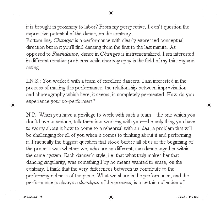◈

◈

it is brought in proximity to labor? From my perspective, I don't question the expressive potential of the dance, on the contrary.

Bottom line, Changes is a performance with clearly expressed conceptual direction but in it you'll find dancing from the first to the last minute. As opposed to Fleshdance, dance in Changes is instrumentalized. I am interested in different creative problems while choreography is the field of my thinking and acting.

I.N.S.: You worked with a team of excellent dancers. I am interested in the process of making this performance, the relationship between improvisation and choreography which here, it seems, is completely permeated. How do you experience your co-performers?

N.P.: When you have a privilege to work with such a team—the one which you don't have to seduce, talk them into working with you—the only thing you have to worry about is how to come to a rehearsal with an idea, a problem that will be challenging for all of you when it comes to thinking about it and performing it. Practically the biggest question that stood before all of us at the beginning of the process was whether we, who are so different, can dance together within the same system. Each dancer's style, i.e. that what truly makes her that dancing singularity, was something I by no means wanted to erase, on the contrary. I think that the very differences between us contribute to the performing richness of the piece. What we share in the performance, and the performance is always a *decalque* of the process, is a certain collection of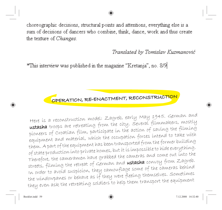choreographic decisions, structural points and attentions, everything else is a sum of decisions of dancers who combine, think, dance, work and thus create the texture of Changes.

Translated by Tomislav Kuzmanović

\*This interview was published in the magazine "Kretanja", no. 8/9

## OPERATION, RE-ENACTMENT, RECONSTRUCTI<mark>ON</mark>

Here is a reconstruction model: Zagreb, early May 1945. German an<sup>d</sup> ustasha troops are retreating from the city. Several filmmakers, mostly pioneers of Croatian film, participate in the action of saving the filming equipment and material, which the occupation forces intend to take with them. A part of the equipment has been transported from the former building of state production into private homes, but it is impossible to hide everything. Therefore, the cameramen have grabbed the cameras and come out into the streets, filming the retreat of German and **ustasha** convoy from Zagreb. In order to avoid suspicion, they camouflage some of the cameras behind the windowpanes or behave as if they were fleeing themselves. Sometimes they even ask the retreating soldiers to help them transport the equipment

♠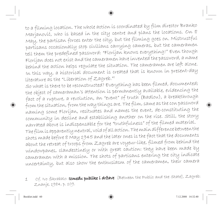to a filming location. The whole action is coordinated by film director Branko Marjanovi<sup>ć</sup>, who is based in the city centre and plans the locations. On 8 May, the partisan forces enter the city, but the filming goes on. Mistrustful partisans occasionally stop civilians carrying cameras, but the cameramen tell them the predefined password: "Florijan knows everything!" Even though Florijan does not exist and the cameramen have invented the password, a name behind the action helps regulate the situation. The cameramen are left alone. In this way, a historical document is created that is known in present-day literature as the "Liberation of Zagreb."<sup>1</sup>

⊕

So what is there to be reconstructed? Everything has been filmed, documented; the object of cameraman's attention is permanently available, evidencing the fact of a rupture, a revolution, an "event" of truth (Badiou), a breakthrough from the situation, from the way things are. The film, same as the con passwor<sup>d</sup> naming some Florijan, resituates and names the event, de-constituting the community in decline and establishing another on the rise. Still, the story narrated above is indispensable for the "truthfulness" of the filmed material. The film is apparently neutral, void of all action. The main difference between the shots made before 8 May 1945 and the later ones is the fact that the documents about the retreat of troops from Zagreb are voyeur-like, filmed from behind the windowpanes, clandestinely or with great caution: they have been made by cameramen with a mission. The shots of partisans entering the city indicate uncertainty, but also show the enthusiasm of the cameramen, their camera

1 Cf. Ivo Škrabalo: **Između publike i države** [Between the Public and the State], Zagreb: Znanje, 1984, p. 109.

◈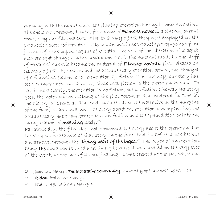running with the momentum, the filming operation having become an action. The shots were presented in the first issue of **Filmske novosti**, a cinema journal created by our filmmakers. Prior to 8 May 1945, they were employed in the production sector of Hrvatski slikopis, an institute producing propaganda film journals for the puppet regime of Croatia. The day of the liberation of Zagreb also brought changes in the production staff. The material made by the staff of Hrvatski slikopis became the material of **Filmske novosti**, first released on 21 May 1945. The idea behind the documentary operation became the "thought of a founding fiction, or a foundation by fiction."<sup>2</sup> In this way, our story has been transformed into a myth, since that fiction is the operation as such. To say it more clearly: the operation is no fiction, but its fiction (the way our story goes, the notes on the making of the first post-war film material in Croatia, the history of Croatian film that includes it, or the narrative in the margins of the film) is an operation. The story about the operation accompanying the documentary has transformed its own fiction into the "foundation or into the inauguration of meaning itself."<sup>3</sup>

Paradoxically, the film does not document the story about the operation, but the very embeddedness of that story in the film, that is, before it has become a narrative, presents the "living heart of the logos."<sup>4</sup> The myth of an operation being the operation is lived and living because it was created on the very spot of the event, at the site of its originating. It was created at the site where one

- 2 Jean-Luc Nancy: **The Inoperative Community**, University of Minnesota, 1990, p. 53.
- 3 **Ibidem**, italics are Nancy's.
- $16id.$ , p. 49, italics are Nancy's.

⊕

Između publike i države :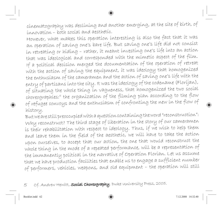⊕

However, what makes this operation interesting is also the fact that it was an operation of saving one's bare life. But saving one's life did not consist in retreating or hiding – rather, it meant investing one's life into an action that was ideological and corresponded with the mimetic aspect of the film. If a political decision merged the documentation of the operation of retreat with the action of saving the equipment, it was ideology that homogenized the enthusiasm of the cameramen and the action of saving one's life with the entry of partisans into the city. It was the ideology of the codename (Florijan), of situating the whole thing in vagueness, that homogenized the two social choreographies:<sup>5</sup> the organization of the filming plan according to the flow of refugee convoys and the enthusiasm of confronting the new in the flow of history.

But we are still preoccupied with a question containing the word "reconstruction": Why reconstruct? The third stage of liberation in the story of our cameramen is their rehabilitation with respect to ideology. Thus, if we wish to help them and leave them in the field of the aesthetic, we will have to take the action upon ourselves, to accept that our action, the one that would reconstruct the whole thing in the mode of a repeated performance, will be a representation of the immanently political in the narrative of Operation Florian. Let us assume that we have production facilities that enable us to engage a sufficient number of performers, vehicles, weapons, and old equipment – the operation will still

Cf. Andrew Hewitt, **Social Choreography**, Duke University Press, 2005.

◈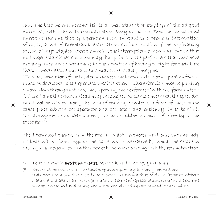fail. The best we can accomplish is a re-enactment or staging of the adapted narrative, rather than its reconstruction. Why is that so? Because the situated narrative such as that of Operation Florijan requires a previous interruption of myth, a sort of Brechtian literarization, an introduction of the originating speech, of mythological operation before the interruption, of communication that no longer establishes a community, but points to the performers that now have nothing in common with those in the situation of having to fight for their bare lives, however aestheticized their social choreography may be:

"This literarization of the theater, as indeed the literarization of all public affairs, must be developed to the greatest possible extent. Literarization means putting across ideas through actions; interspersing the 'performed' with the 'formulated.' (...) So far as the communication of the subject matter is concerned, the spectator must not be misled along the path of empathy; instead, a form of intercourse takes place between the spectator and the actor, and basically, in spite of all the strangeness and detachment, the actor addresses himself directly to the spectator."6

The literarized theatre is a theatre in which footnotes and observations help us look left or right, beyond the situation or narrative by which the aesthetic  $i$ deology homogenizes. $\neq$  In this respect, we must distinguish the reconstruction

6 Bertolt Brecht in **Brecht on Theatre**, New York: Hill  $\xi$  Wang, 1964, p. 44.

 $F$  On the literarized theatre, the theatre of interrupted myth, Nancy has written: "This does not mean that there is no theater – as though there could be literature without theater. But theater, here, no longer means the scene of representation: it means the extreme edge of this scene, the dividing line where singular beings are exposed to one another.

f

♠

l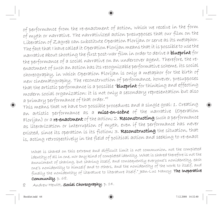of performance from the re-enactment of action, which we receive in the form of myth or narrative. The narrativized action presupposes that our film on the Liberation of Zagreb can substitute Operation Florijan or serve as its metaphor. The fact that I have called it Operation Florijan means that it is possible to use the narrative about shooting the first post-war film in order to derive a **blueprint** for the performance of a social narrative on an undercover agent. Therefore, the reenactment of such an action has its recognizable performative scheme, its social choreography, in which Operation Florijan is only a metaphor for the birth of new cinematography. The reconstruction of performance, however, presupposes that the artistic performance is a possible "**blueprint** for thinking and effecting modern social organization: it is not only a secondary representation but also a primary performance of that order."<sup>8</sup>

This means that we have two possible procedures and a single goal: 1. Creating an artistic performance as a mise-en-scène of the narrative (Operation Florijan) or a **re-enactment** of the action; 2. Reconstructing such a performance as literarization or interruption of myth, even if the performance has never existed, since its operation is its fiction; 3. Reconstructing the situation, that is, acting retrospectively in the field of political action and seeking to re-enact

 What is shared on this extreme and difficult limit is not communion, not the completed identity of all in one, nor any kind of completed identity. What is shared therefore is not the annulment of sharing, but sharing itself, and consequently everyone's nonidentity, each one's nonidentity to himself and to others, and the nonidentity of the work to itself, and finally the nonidentity of literature to literature itself." Jean-Luc Nancy: The Inoperative Community,  $p. 68$ .

8 Andrew Hewitt, Social Choreography, p. 14.

♠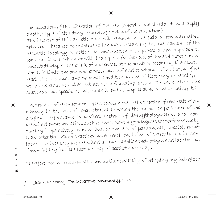the situation of the Liberation of Zagreb (whereby one should at least apply another type of situating, depriving Stalin of his revolution).

The interest of this artistic plan will remain in the field of reconstruction, primarily because re-enactment includes restarting the mechanism of the aesthetic ideology of action. Reconstruction presupposes a new approach to construction, in which we will find a place for the voice of those who speak nonconstitutively, at the brink of muteness, at the brink of becoming literature: "On this limit, the one who exposes himself and to whom – if we listen, if we read, if our ethical and political condition is one of listening or reading – we expose ourselves, does not deliver a founding speech. On the contrary, he suspends this speech, he interrupts it and he says that he is interrupting it."

The practice of re-enactment often comes close to the practice of reconstitution, namely in the case of re-enactment to which the author or performer of the original performance is invited. Instead of de-mythologization and nonidentitarian presentation, such re-enactment mythologizes the performance by placing it operatively in non-time, on the level of permanently possible rather than potential. Such practices never reach the brink of presentation in nonidentity, since they are identitarian and establish their origin and identity in time – falling into the utopian trap of aesthetic ideology.

- Therefore, reconstruction will open up the possibility of bringing mythologized
- h nd

d he

♠

- $\theta$
- Jean-Luc Nancy: **The Inoperative Community**, p. 68.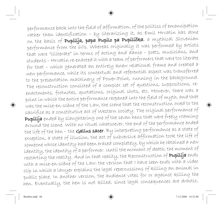♠

performance back into the field of affirmation, of the politics of emancipation rather than identification – by literarizing it, as Emil Hrvatin has done on the basis of Pupilija, papa Pupilo pa Pupilička, a mythical Slovenian performance from the 60s. Whereas originally it was performed by artists that were "illiterate" in terms of acting and dance – poets, musicians, and students – Hrvatin re-enacted it with a team of performers that were too literate for that – which generated an entirely knew relational frame and created a new performance, while its contextual and referential aspect was transferred to the presentation machinery of Power-Point, running in the background. The reconstruction consisted of a complex set of questions, suppositions, reenactments, footnotes, quotations, original shots, etc. However, there was a point in which the entire performance reopened into the field of myth, and that was the mise-en-scène of the Law, the scene that the reconstruction owed to the sacrifice as a constitutive act of Western society. The original performance of Pupilija ended by slaughtering one of the seven hens that were freely roaming around the scene. With no ritual whatsoever, the end of the performance ended the life of the hen – the Gallus sacer. By interpreting performance as a state of exception, a state of illusion, the act of subversive affirmation took the life of someone whose identity had been erased completely, by which he obtained a new identity, the identity of a performer. Until the moment of death, the moment of restarting the reality. And in that reality, the Reconstruction of **Pupilija** ends with a mise-en-scène of the Law: the version that I have seen ends with a video clip in which a lawyer explains the legal repercussions of killing an animal in public place. In another version, the audience votes for or against killing the hen. Eventually, the hen is not killed, since legal consequences are drastic,

◈

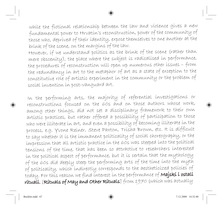while the fictional relationship between the law and violence gives a new fundamental power to Hrvatin's reconstruction, power of the community of those who, deprived of their identity, expose themselves to one another at the brink of the scene, on the margins of the law.

However, if we understand politics as the brink of the scene (rather than mere obscenity), the place where the subject is radicalised in performance, the procedures of reconstruction will open up numerous other issues – from the redundancy in art to the metaphor of art as a state of exception to the constitutive role of artistic experiment in the community or the problem of social invention in post-vanguard art.

In the performing arts, the majority of referential investigations or reconstructions focused on the 60s and on those authors whose work, among other things, did not set a disciplinary framework to their own artistic practices, but rather offered a possibility of participation to those who were illiterate in art, and even a possibility of becoming illiterate in the process, e.g. Yvone Reiner, Steve Paxton, Trisha Brown, etc. It is difficult to say whether it is the immanent politicality of social choreography, or the impression that all artistic practice in the 60s was steeped into the political tensions of the time, that has been so attractive to researchers interested in the political aspect of performance, but it is certain that the mythology of the 60s did deeply steep the performing arts of the time into the myth of politicality, which indirectly corresponds to the aestheticized policies of today. For this reason we find interest in the performance of **Majski i ostali** rituali. [Rituals of May and Other Rituals] from 1970 (which was actually

◈

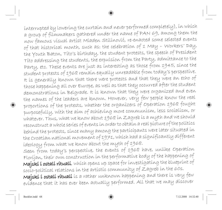interrupted by lowering the curtain and never performed completely), in which a group of filmmakers gathered under the name of PAN 69, among them the now famous visual artist Mladen Stilinovi<sup>ć</sup>, re-enacted some selected events of that historical month, such as: the celebration of 1 May – Workers' Day, the Youth Baton, Tito's birthday, the student protests, the speech of President Tito addressing the students, the expulsion from the Party, admittance to the Party, etc. These events are just as interesting as those from 1945, since the student protests of 1968 remain equally unreadable from today's perspective. It is generally known that there were protests and that they were an echo of those happening all over Europe, as well as that they occurred after the student demonstrations in Belgrade. It is known that they were organized and even the names of the leaders are known. However, very few people know the real proportions of the protests, whether the organizers of Operation 1968 fought purposefully, with the aim of achieving more communism, less socialism, or whatever. Thus, what we know about 1968 in Zagreb is a myth and we should reconstruct a whole series of events in order to obtain a real picture of the politics behind the protests, since many among the participants were later situated in the Croatian national movement of 1971, which had a significantly different

⊕

ideology from what we know about the myth of 1968. Seen from today's perspective, the events of 1968 have, unlike Operation Florijan, their own construction in the performative body of the happening of Majski i ostali rituali, which opens up space for investigating the blueprint of socio-political relations in the artistic community of Zagreb in the 60s. Majski i ostali rituali is a rather unknown happening and there is very few evidence that it has ever been actually performed. All that we may discover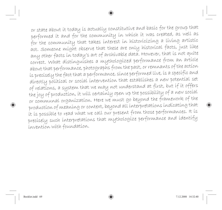or state about it today is actually constitutive and basic for the group that performed it and for the community in which it was created, as well as for the community that takes interest in historicizing a living artistic act. Someone might observe that these are only historical facts, just like any other facts in today's art of archivable data. However, that is not quite correct. What distinguishes a mythologized performance from an article about that performance, photographs from the past, or remnants of the action is precisely the fact that a performance, since performed live, is a specific and directly political or social intervention that establishes a new potential set of relations, a system that we may not understand at first, but if it offers the joy of production, it will certainly open up the possibility of a new social or communal organization. Here we must go beyond the framework of the production of meaning or context, beyond all interpretations indicating that it is possible to read what we call our present from those performances. It is precisely such interpretations that mythologize performance and identify invention with foundation.

⊕

♠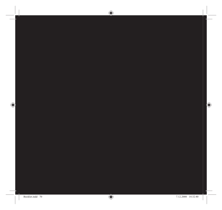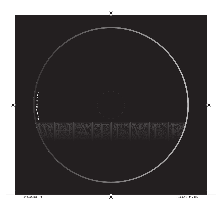